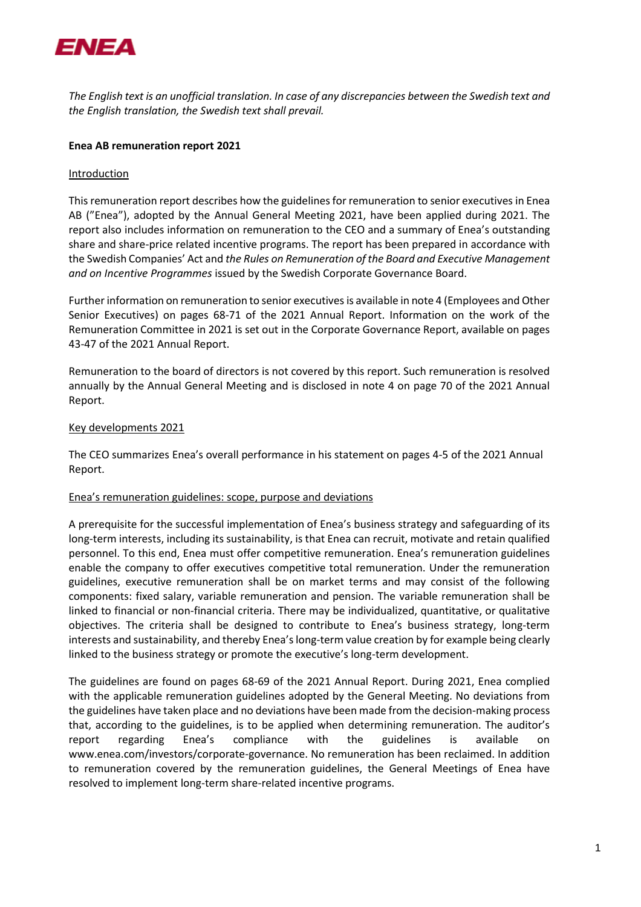

*The English text is an unofficial translation. In case of any discrepancies between the Swedish text and the English translation, the Swedish text shall prevail.*

# **Enea AB remuneration report 2021**

### Introduction

This remuneration report describes how the guidelines for remuneration to senior executives in Enea AB ("Enea"), adopted by the Annual General Meeting 2021, have been applied during 2021. The report also includes information on remuneration to the CEO and a summary of Enea's outstanding share and share-price related incentive programs. The report has been prepared in accordance with the Swedish Companies' Act and *the Rules on Remuneration of the Board and Executive Management and on Incentive Programmes* issued by the Swedish Corporate Governance Board.

Further information on remuneration to senior executivesis available in note 4 (Employees and Other Senior Executives) on pages 68-71 of the 2021 Annual Report. Information on the work of the Remuneration Committee in 2021 is set out in the Corporate Governance Report, available on pages 43-47 of the 2021 Annual Report.

Remuneration to the board of directors is not covered by this report. Such remuneration is resolved annually by the Annual General Meeting and is disclosed in note 4 on page 70 of the 2021 Annual Report.

### Key developments 2021

The CEO summarizes Enea's overall performance in his statement on pages 4-5 of the 2021 Annual Report.

### Enea's remuneration guidelines: scope, purpose and deviations

A prerequisite for the successful implementation of Enea's business strategy and safeguarding of its long-term interests, including its sustainability, is that Enea can recruit, motivate and retain qualified personnel. To this end, Enea must offer competitive remuneration. Enea's remuneration guidelines enable the company to offer executives competitive total remuneration. Under the remuneration guidelines, executive remuneration shall be on market terms and may consist of the following components: fixed salary, variable remuneration and pension. The variable remuneration shall be linked to financial or non-financial criteria. There may be individualized, quantitative, or qualitative objectives. The criteria shall be designed to contribute to Enea's business strategy, long-term interests and sustainability, and thereby Enea's long-term value creation by for example being clearly linked to the business strategy or promote the executive's long-term development.

The guidelines are found on pages 68-69 of the 2021 Annual Report. During 2021, Enea complied with the applicable remuneration guidelines adopted by the General Meeting. No deviations from the guidelines have taken place and no deviations have been made from the decision-making process that, according to the guidelines, is to be applied when determining remuneration. The auditor's report regarding Enea's compliance with the guidelines is available www.enea.com/investors/corporate-governance. No remuneration has been reclaimed. In addition to remuneration covered by the remuneration guidelines, the General Meetings of Enea have resolved to implement long-term share-related incentive programs.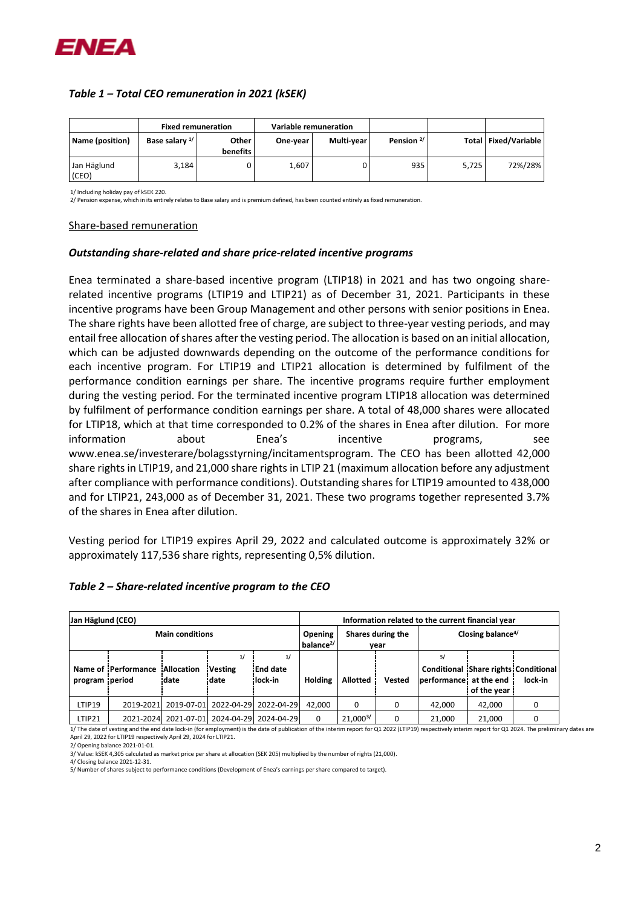

# *Table 1 – Total CEO remuneration in 2021 (kSEK)*

|                      | <b>Fixed remuneration</b> |                   |          | Variable remuneration |                       |       |                        |
|----------------------|---------------------------|-------------------|----------|-----------------------|-----------------------|-------|------------------------|
| Name (position)      | Base salary <sup>1/</sup> | Other<br>benefits | One-year | Multi-year            | Pension <sup>2/</sup> |       | Total   Fixed/Variable |
| Jan Häglund<br>(CEO) | 3,184                     |                   | 1,607    |                       | 935                   | 5.725 | 72%/28%                |

1/ Including holiday pay of kSEK 220.

2/ Pension expense, which in its entirely relates to Base salary and is premium defined, has been counted entirely as fixed remuneration.

#### Share-based remuneration

### *Outstanding share-related and share price-related incentive programs*

Enea terminated a share-based incentive program (LTIP18) in 2021 and has two ongoing sharerelated incentive programs (LTIP19 and LTIP21) as of December 31, 2021. Participants in these incentive programs have been Group Management and other persons with senior positions in Enea. The share rights have been allotted free of charge, are subject to three-year vesting periods, and may entail free allocation of shares after the vesting period. The allocation is based on an initial allocation, which can be adjusted downwards depending on the outcome of the performance conditions for each incentive program. For LTIP19 and LTIP21 allocation is determined by fulfilment of the performance condition earnings per share. The incentive programs require further employment during the vesting period. For the terminated incentive program LTIP18 allocation was determined by fulfilment of performance condition earnings per share. A total of 48,000 shares were allocated for LTIP18, which at that time corresponded to 0.2% of the shares in Enea after dilution. For more information about Enea's incentive programs, see www.enea.se/investerare/bolagsstyrning/incitamentsprogram. The CEO has been allotted 42,000 share rights in LTIP19, and 21,000 share rights in LTIP 21 (maximum allocation before any adjustment after compliance with performance conditions). Outstanding shares for LTIP19 amounted to 438,000 and for LTIP21, 243,000 as of December 31, 2021. These two programs together represented 3.7% of the shares in Enea after dilution.

Vesting period for LTIP19 expires April 29, 2022 and calculated outcome is approximately 32% or approximately 117,536 share rights, representing 0,5% dilution.

| Jan Häglund (CEO)      |                     |                     |                               | Information related to the current financial year |                           |                 |                               |                                                                       |             |         |
|------------------------|---------------------|---------------------|-------------------------------|---------------------------------------------------|---------------------------|-----------------|-------------------------------|-----------------------------------------------------------------------|-------------|---------|
| <b>Main conditions</b> |                     |                     |                               | <b>Opening</b><br>$b$ alance $^{2/}$              | Shares during the<br>vear |                 | Closing balance <sup>4/</sup> |                                                                       |             |         |
| program period         | Name of Performance | Allocation<br>date: | 1/<br><b>Vesting</b><br>date: | 1/<br><b>End date</b><br>lock in                  | Holding                   | <b>Allotted</b> | Vested                        | 5/<br>Conditional Share rights Conditional<br>performance: at the end | of the year | lock-in |
| LTIP19                 | 2019-2021           | 2019-07-01          | 2022-04-29                    | 2022-04-29                                        | 42.000                    | 0               | 0                             | 42.000                                                                | 42,000      |         |
| LTIP21                 | 2021-2024           | 2021-07-01          |                               | 2024-04-29 2024-04-29                             | 0                         | 21.0003/        |                               | 21.000                                                                | 21,000      |         |

# *Table 2 – Share-related incentive program to the CEO*

1/ The date of vesting and the end date lock-in (for employment) is the date of publication of the interim report for Q1 2022 (LTIP19) respectively interim report for Q1 2024. The preliminary dates are April 29, 2022 for LTIP19 respectively April 29, 2024 for LTIP21.

2/ Opening balance 2021-01-01.

4/ Closing balance 2021-12-31.

<sup>3/</sup> Value: kSEK 4,305 calculated as market price per share at allocation (SEK 205) multiplied by the number of rights (21,000).

<sup>5/</sup> Number of shares subject to performance conditions (Development of Enea's earnings per share compared to target).